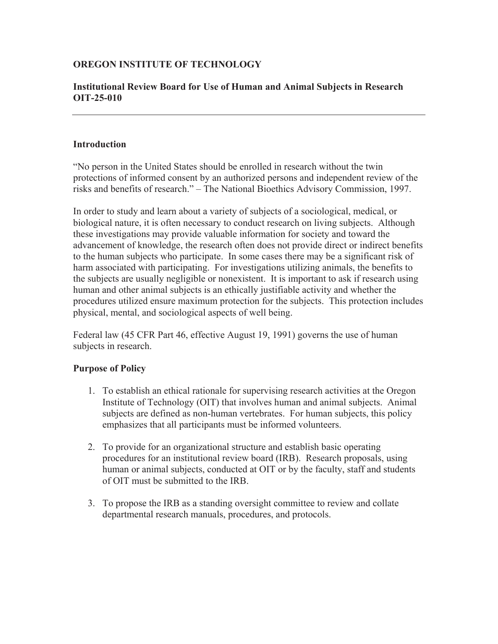### **OREGON INSTITUTE OF TECHNOLOGY**

#### **Institutional Review Board for Use of Human and Animal Subjects in Research OIT-25-010**

#### **Introduction**

"No person in the United States should be enrolled in research without the twin protections of informed consent by an authorized persons and independent review of the risks and benefits of research." – The National Bioethics Advisory Commission, 1997.

In order to study and learn about a variety of subjects of a sociological, medical, or biological nature, it is often necessary to conduct research on living subjects. Although these investigations may provide valuable information for society and toward the advancement of knowledge, the research often does not provide direct or indirect benefits to the human subjects who participate. In some cases there may be a significant risk of harm associated with participating. For investigations utilizing animals, the benefits to the subjects are usually negligible or nonexistent. It is important to ask if research using human and other animal subjects is an ethically justifiable activity and whether the procedures utilized ensure maximum protection for the subjects. This protection includes physical, mental, and sociological aspects of well being.

Federal law (45 CFR Part 46, effective August 19, 1991) governs the use of human subjects in research.

### **Purpose of Policy**

- 1. To establish an ethical rationale for supervising research activities at the Oregon Institute of Technology (OIT) that involves human and animal subjects. Animal subjects are defined as non-human vertebrates. For human subjects, this policy emphasizes that all participants must be informed volunteers.
- 2. To provide for an organizational structure and establish basic operating procedures for an institutional review board (IRB). Research proposals, using human or animal subjects, conducted at OIT or by the faculty, staff and students of OIT must be submitted to the IRB.
- 3. To propose the IRB as a standing oversight committee to review and collate departmental research manuals, procedures, and protocols.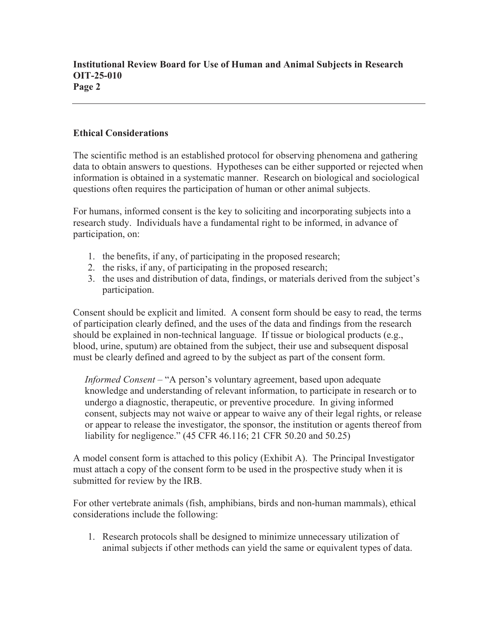## **Ethical Considerations**

The scientific method is an established protocol for observing phenomena and gathering data to obtain answers to questions. Hypotheses can be either supported or rejected when information is obtained in a systematic manner. Research on biological and sociological questions often requires the participation of human or other animal subjects.

For humans, informed consent is the key to soliciting and incorporating subjects into a research study. Individuals have a fundamental right to be informed, in advance of participation, on:

- 1. the benefits, if any, of participating in the proposed research;
- 2. the risks, if any, of participating in the proposed research;
- 3. the uses and distribution of data, findings, or materials derived from the subject's participation.

Consent should be explicit and limited. A consent form should be easy to read, the terms of participation clearly defined, and the uses of the data and findings from the research should be explained in non-technical language. If tissue or biological products (e.g., blood, urine, sputum) are obtained from the subject, their use and subsequent disposal must be clearly defined and agreed to by the subject as part of the consent form.

*Informed Consent* – "A person's voluntary agreement, based upon adequate knowledge and understanding of relevant information, to participate in research or to undergo a diagnostic, therapeutic, or preventive procedure. In giving informed consent, subjects may not waive or appear to waive any of their legal rights, or release or appear to release the investigator, the sponsor, the institution or agents thereof from liability for negligence." (45 CFR 46.116; 21 CFR 50.20 and 50.25)

A model consent form is attached to this policy (Exhibit A). The Principal Investigator must attach a copy of the consent form to be used in the prospective study when it is submitted for review by the IRB.

For other vertebrate animals (fish, amphibians, birds and non-human mammals), ethical considerations include the following:

1. Research protocols shall be designed to minimize unnecessary utilization of animal subjects if other methods can yield the same or equivalent types of data.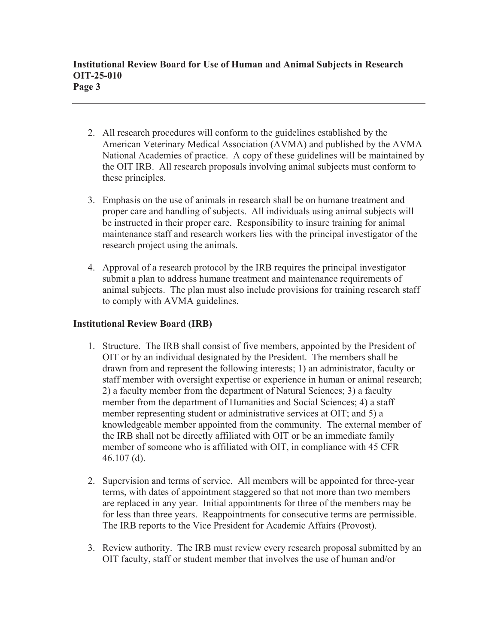- 2. All research procedures will conform to the guidelines established by the American Veterinary Medical Association (AVMA) and published by the AVMA National Academies of practice. A copy of these guidelines will be maintained by the OIT IRB. All research proposals involving animal subjects must conform to these principles.
- 3. Emphasis on the use of animals in research shall be on humane treatment and proper care and handling of subjects. All individuals using animal subjects will be instructed in their proper care. Responsibility to insure training for animal maintenance staff and research workers lies with the principal investigator of the research project using the animals.
- 4. Approval of a research protocol by the IRB requires the principal investigator submit a plan to address humane treatment and maintenance requirements of animal subjects. The plan must also include provisions for training research staff to comply with AVMA guidelines.

# **Institutional Review Board (IRB)**

- 1. Structure. The IRB shall consist of five members, appointed by the President of OIT or by an individual designated by the President. The members shall be drawn from and represent the following interests; 1) an administrator, faculty or staff member with oversight expertise or experience in human or animal research; 2) a faculty member from the department of Natural Sciences; 3) a faculty member from the department of Humanities and Social Sciences; 4) a staff member representing student or administrative services at OIT; and 5) a knowledgeable member appointed from the community. The external member of the IRB shall not be directly affiliated with OIT or be an immediate family member of someone who is affiliated with OIT, in compliance with 45 CFR 46.107 (d).
- 2. Supervision and terms of service. All members will be appointed for three-year terms, with dates of appointment staggered so that not more than two members are replaced in any year. Initial appointments for three of the members may be for less than three years. Reappointments for consecutive terms are permissible. The IRB reports to the Vice President for Academic Affairs (Provost).
- 3. Review authority. The IRB must review every research proposal submitted by an OIT faculty, staff or student member that involves the use of human and/or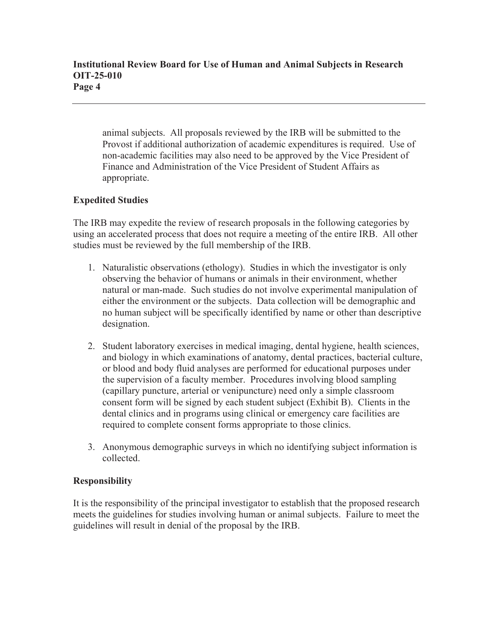animal subjects. All proposals reviewed by the IRB will be submitted to the Provost if additional authorization of academic expenditures is required. Use of non-academic facilities may also need to be approved by the Vice President of Finance and Administration of the Vice President of Student Affairs as appropriate.

# **Expedited Studies**

The IRB may expedite the review of research proposals in the following categories by using an accelerated process that does not require a meeting of the entire IRB. All other studies must be reviewed by the full membership of the IRB.

- 1. Naturalistic observations (ethology). Studies in which the investigator is only observing the behavior of humans or animals in their environment, whether natural or man-made. Such studies do not involve experimental manipulation of either the environment or the subjects. Data collection will be demographic and no human subject will be specifically identified by name or other than descriptive designation.
- 2. Student laboratory exercises in medical imaging, dental hygiene, health sciences, and biology in which examinations of anatomy, dental practices, bacterial culture, or blood and body fluid analyses are performed for educational purposes under the supervision of a faculty member. Procedures involving blood sampling (capillary puncture, arterial or venipuncture) need only a simple classroom consent form will be signed by each student subject (Exhibit B). Clients in the dental clinics and in programs using clinical or emergency care facilities are required to complete consent forms appropriate to those clinics.
- 3. Anonymous demographic surveys in which no identifying subject information is collected.

### **Responsibility**

It is the responsibility of the principal investigator to establish that the proposed research meets the guidelines for studies involving human or animal subjects. Failure to meet the guidelines will result in denial of the proposal by the IRB.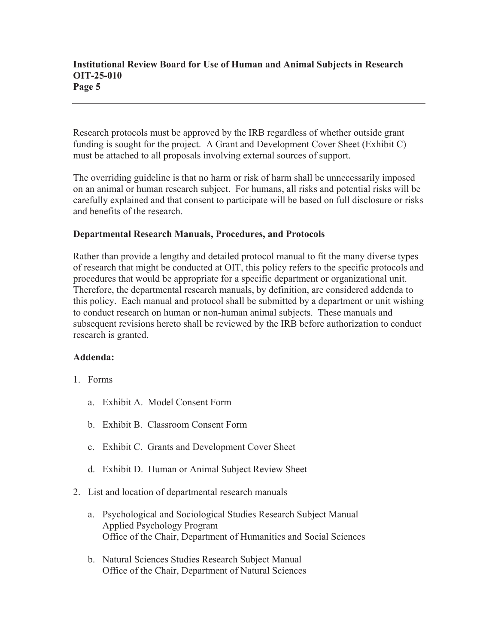Research protocols must be approved by the IRB regardless of whether outside grant funding is sought for the project. A Grant and Development Cover Sheet (Exhibit C) must be attached to all proposals involving external sources of support.

The overriding guideline is that no harm or risk of harm shall be unnecessarily imposed on an animal or human research subject. For humans, all risks and potential risks will be carefully explained and that consent to participate will be based on full disclosure or risks and benefits of the research.

### **Departmental Research Manuals, Procedures, and Protocols**

Rather than provide a lengthy and detailed protocol manual to fit the many diverse types of research that might be conducted at OIT, this policy refers to the specific protocols and procedures that would be appropriate for a specific department or organizational unit. Therefore, the departmental research manuals, by definition, are considered addenda to this policy. Each manual and protocol shall be submitted by a department or unit wishing to conduct research on human or non-human animal subjects. These manuals and subsequent revisions hereto shall be reviewed by the IRB before authorization to conduct research is granted.

#### **Addenda:**

- 1. Forms
	- a. Exhibit A. Model Consent Form
	- b. Exhibit B. Classroom Consent Form
	- c. Exhibit C. Grants and Development Cover Sheet
	- d. Exhibit D. Human or Animal Subject Review Sheet
- 2. List and location of departmental research manuals
	- a. Psychological and Sociological Studies Research Subject Manual Applied Psychology Program Office of the Chair, Department of Humanities and Social Sciences
	- b. Natural Sciences Studies Research Subject Manual Office of the Chair, Department of Natural Sciences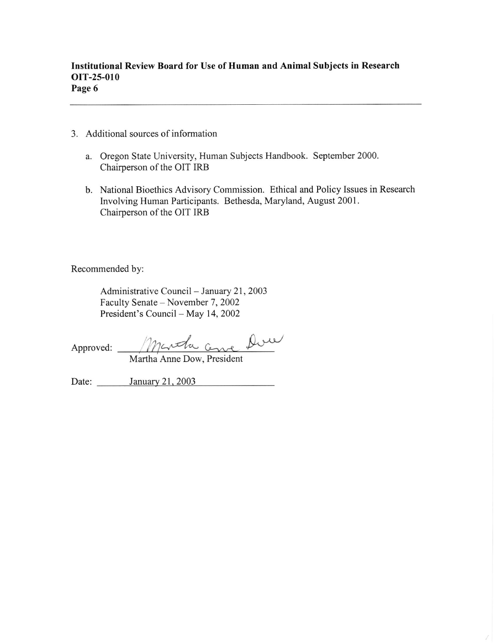- 3. Additional sources of information
	- a. Oregon State University, Human Subjects Handbook. September 2000. Chairperson of the OIT IRB
	- b. National Bioethics Advisory Commission. Ethical and Policy Issues in Research Involving Human Participants. Bethesda, Maryland, August 2001. Chairperson of the OIT IRB

Recommended by:

Administrative Council - January 21, 2003 Faculty Senate - November 7, 2002 President's Council - May 14, 2002

Approved: Martha Come Due

Martha Anne Dow, President

Date: January 21, 2003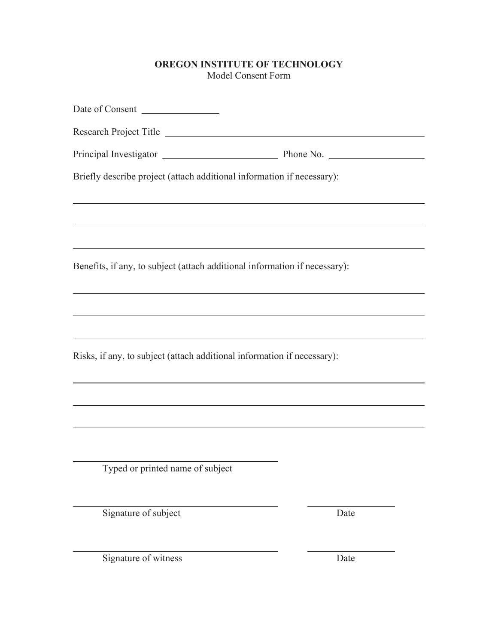# **OREGON INSTITUTE OF TECHNOLOGY**  Model Consent Form

| Date of Consent                                                            |      |
|----------------------------------------------------------------------------|------|
| Research Project Title                                                     |      |
|                                                                            |      |
| Briefly describe project (attach additional information if necessary):     |      |
|                                                                            |      |
| Benefits, if any, to subject (attach additional information if necessary): |      |
|                                                                            |      |
|                                                                            |      |
| Risks, if any, to subject (attach additional information if necessary):    |      |
|                                                                            |      |
|                                                                            |      |
|                                                                            |      |
| Typed or printed name of subject                                           |      |
| Signature of subject                                                       | Date |

Signature of witness Date

 $\overline{\phantom{0}}$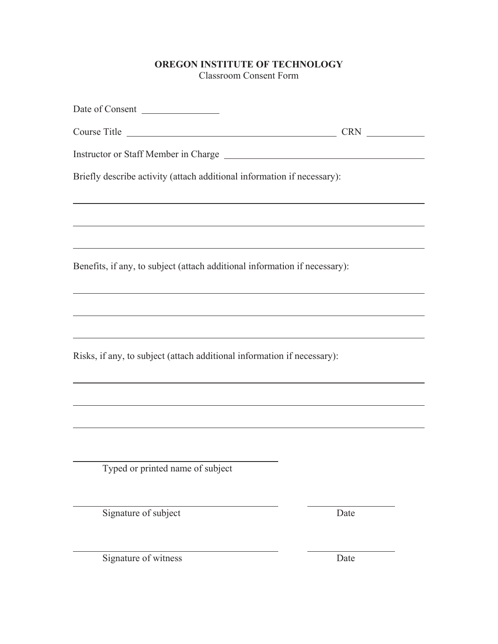# **OREGON INSTITUTE OF TECHNOLOGY**  Classroom Consent Form

| Date of Consent                                                            |
|----------------------------------------------------------------------------|
| Course Title<br><b>CRN</b>                                                 |
|                                                                            |
| Briefly describe activity (attach additional information if necessary):    |
|                                                                            |
| Benefits, if any, to subject (attach additional information if necessary): |
|                                                                            |
|                                                                            |
| Risks, if any, to subject (attach additional information if necessary):    |
|                                                                            |
|                                                                            |
|                                                                            |
| Typed or printed name of subject                                           |

Signature of subject Date

Signature of witness Date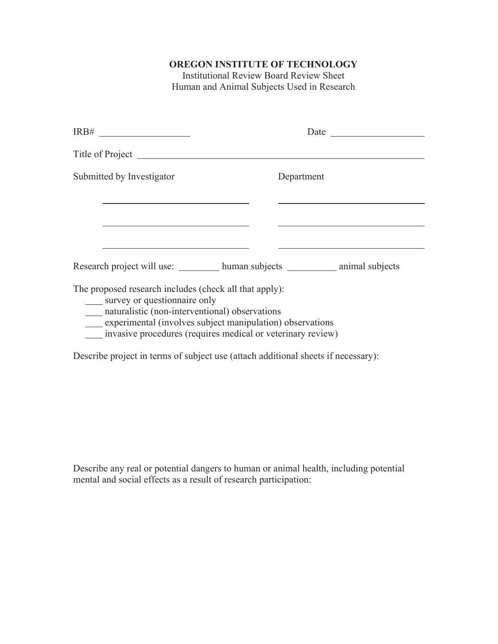# **OREGON INSTITUTE OF TECHNOLOGY**

Institutional Review Board Review Sheet Human and Animal Subjects Used in Research

| Submitted by Investigator                                                                                                                                                                                                                                            | Department |  |
|----------------------------------------------------------------------------------------------------------------------------------------------------------------------------------------------------------------------------------------------------------------------|------------|--|
|                                                                                                                                                                                                                                                                      |            |  |
|                                                                                                                                                                                                                                                                      |            |  |
| The proposed research includes (check all that apply):<br>survey or questionnaire only<br>maturalistic (non-interventional) observations<br>experimental (involves subject manipulation) observations<br>invasive procedures (requires medical or veterinary review) |            |  |
| Describe project in terms of subject use (attach additional sheets if necessary):                                                                                                                                                                                    |            |  |

Describe any real or potential dangers to human or animal health, including potential mental and social effects as a result of research participation: